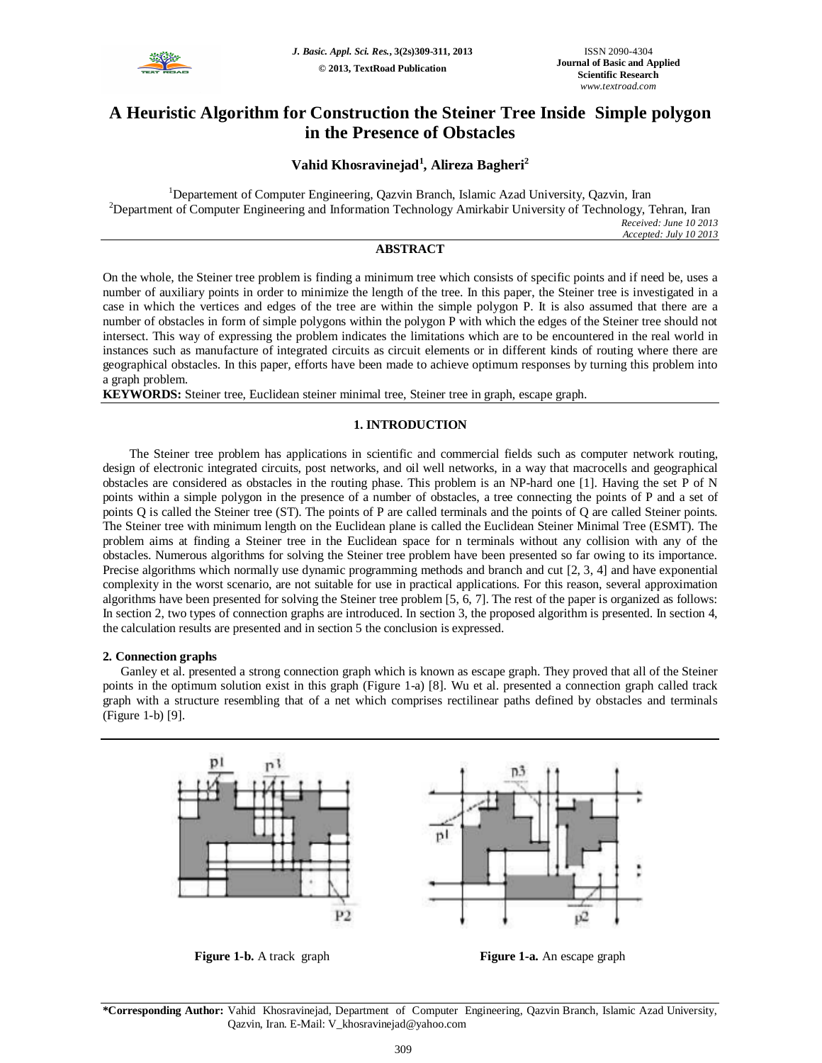

# **A Heuristic Algorithm for Construction the Steiner Tree Inside Simple polygon in the Presence of Obstacles**

# **Vahid Khosravinejad<sup>1</sup> , Alireza Bagheri<sup>2</sup>**

<sup>1</sup>Departement of Computer Engineering, Qazvin Branch, Islamic Azad University, Qazvin, Iran <sup>2</sup>Department of Computer Engineering and Information Technology Amirkabir University of Technology, Tehran, Iran *Received: June 10 2013 Accepted: July 10 2013*

# **ABSTRACT**

On the whole, the Steiner tree problem is finding a minimum tree which consists of specific points and if need be, uses a number of auxiliary points in order to minimize the length of the tree. In this paper, the Steiner tree is investigated in a case in which the vertices and edges of the tree are within the simple polygon P. It is also assumed that there are a number of obstacles in form of simple polygons within the polygon P with which the edges of the Steiner tree should not intersect. This way of expressing the problem indicates the limitations which are to be encountered in the real world in instances such as manufacture of integrated circuits as circuit elements or in different kinds of routing where there are geographical obstacles. In this paper, efforts have been made to achieve optimum responses by turning this problem into a graph problem.

**KEYWORDS:** Steiner tree, Euclidean steiner minimal tree, Steiner tree in graph, escape graph.

# **1. INTRODUCTION**

The Steiner tree problem has applications in scientific and commercial fields such as computer network routing, design of electronic integrated circuits, post networks, and oil well networks, in a way that macrocells and geographical obstacles are considered as obstacles in the routing phase. This problem is an NP-hard one [1]. Having the set P of N points within a simple polygon in the presence of a number of obstacles, a tree connecting the points of P and a set of points Q is called the Steiner tree (ST). The points of P are called terminals and the points of Q are called Steiner points. The Steiner tree with minimum length on the Euclidean plane is called the Euclidean Steiner Minimal Tree (ESMT). The problem aims at finding a Steiner tree in the Euclidean space for n terminals without any collision with any of the obstacles. Numerous algorithms for solving the Steiner tree problem have been presented so far owing to its importance. Precise algorithms which normally use dynamic programming methods and branch and cut [2, 3, 4] and have exponential complexity in the worst scenario, are not suitable for use in practical applications. For this reason, several approximation algorithms have been presented for solving the Steiner tree problem [5, 6, 7]. The rest of the paper is organized as follows: In section 2, two types of connection graphs are introduced. In section 3, the proposed algorithm is presented. In section 4, the calculation results are presented and in section 5 the conclusion is expressed.

# **2. Connection graphs**

Ganley et al. presented a strong connection graph which is known as escape graph. They proved that all of the Steiner points in the optimum solution exist in this graph (Figure 1-a) [8]. Wu et al. presented a connection graph called track graph with a structure resembling that of a net which comprises rectilinear paths defined by obstacles and terminals (Figure 1-b) [9].



**\*Corresponding Author:** Vahid Khosravinejad, Department of Computer Engineering, Qazvin Branch, Islamic Azad University, Qazvin, Iran. E-Mail: V\_khosravinejad@yahoo.com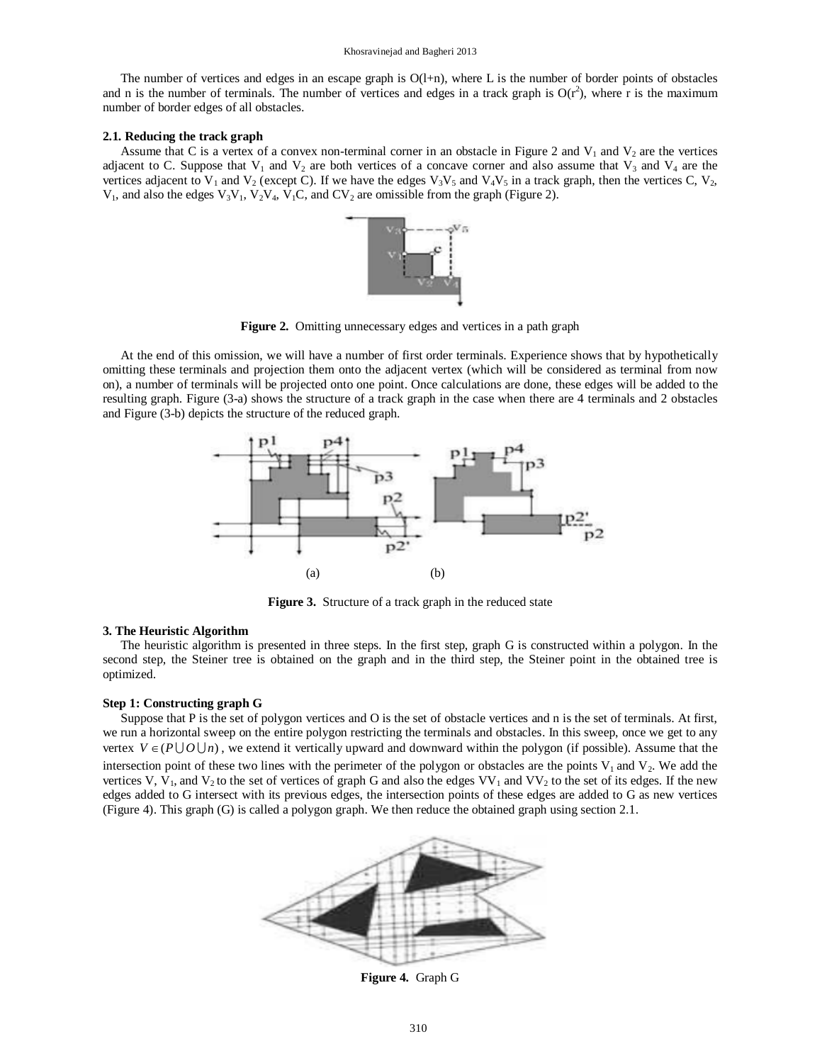#### Khosravinejad and Bagheri 2013

The number of vertices and edges in an escape graph is  $O(1+n)$ , where L is the number of border points of obstacles and n is the number of terminals. The number of vertices and edges in a track graph is  $O(r^2)$ , where r is the maximum number of border edges of all obstacles.

#### **2.1. Reducing the track graph**

Assume that C is a vertex of a convex non-terminal corner in an obstacle in Figure 2 and  $V_1$  and  $V_2$  are the vertices adjacent to C. Suppose that  $V_1$  and  $V_2$  are both vertices of a concave corner and also assume that  $V_3$  and  $V_4$  are the vertices adjacent to V<sub>1</sub> and V<sub>2</sub> (except C). If we have the edges V<sub>3</sub>V<sub>5</sub> and V<sub>4</sub>V<sub>5</sub> in a track graph, then the vertices C, V<sub>2</sub>,  $V_1$ , and also the edges  $V_3V_1$ ,  $V_2V_4$ ,  $V_1C$ , and  $CV_2$  are omissible from the graph (Figure 2).



**Figure 2.** Omitting unnecessary edges and vertices in a path graph

At the end of this omission, we will have a number of first order terminals. Experience shows that by hypothetically omitting these terminals and projection them onto the adjacent vertex (which will be considered as terminal from now on), a number of terminals will be projected onto one point. Once calculations are done, these edges will be added to the resulting graph. Figure (3-a) shows the structure of a track graph in the case when there are 4 terminals and 2 obstacles and Figure (3-b) depicts the structure of the reduced graph.



**Figure 3.** Structure of a track graph in the reduced state

## **3. The Heuristic Algorithm**

The heuristic algorithm is presented in three steps. In the first step, graph G is constructed within a polygon. In the second step, the Steiner tree is obtained on the graph and in the third step, the Steiner point in the obtained tree is optimized.

#### **Step 1: Constructing graph G**

Suppose that P is the set of polygon vertices and O is the set of obstacle vertices and n is the set of terminals. At first, we run a horizontal sweep on the entire polygon restricting the terminals and obstacles. In this sweep, once we get to any vertex  $V \in (P \cup O \cup n)$ , we extend it vertically upward and downward within the polygon (if possible). Assume that the intersection point of these two lines with the perimeter of the polygon or obstacles are the points  $V_1$  and  $V_2$ . We add the vertices V,  $\hat{V}_1$ , and V<sub>2</sub> to the set of vertices of graph G and also the edges VV<sub>1</sub> and VV<sub>2</sub> to the set of its edges. If the new edges added to G intersect with its previous edges, the intersection points of these edges are added to G as new vertices (Figure 4). This graph (G) is called a polygon graph. We then reduce the obtained graph using section 2.1.



**Figure 4.** Graph G